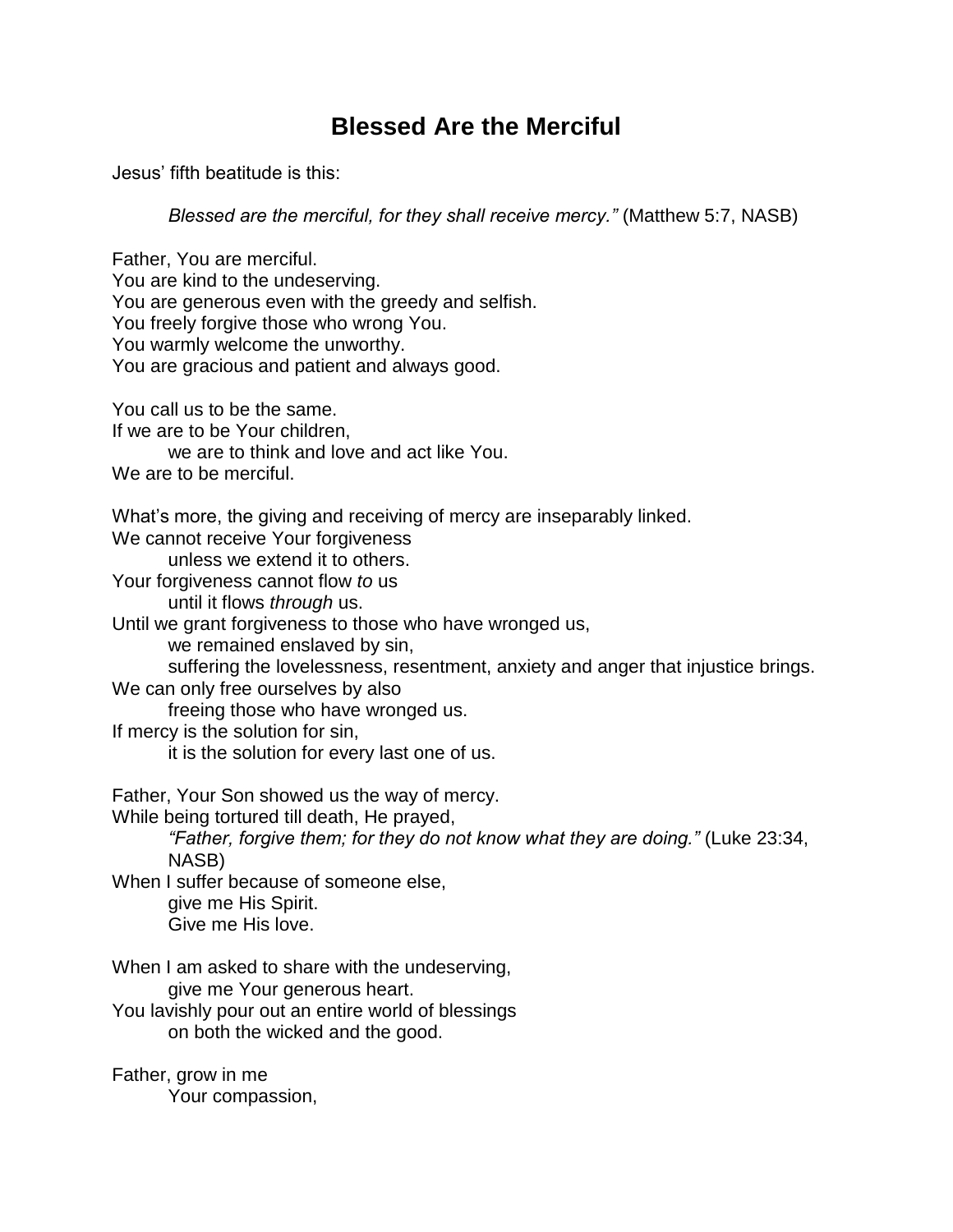## **Blessed Are the Merciful**

Jesus' fifth beatitude is this:

*Blessed are the merciful, for they shall receive mercy."* (Matthew 5:7, NASB)

Father, You are merciful. You are kind to the undeserving. You are generous even with the greedy and selfish. You freely forgive those who wrong You. You warmly welcome the unworthy. You are gracious and patient and always good. You call us to be the same. If we are to be Your children, we are to think and love and act like You. We are to be merciful. What's more, the giving and receiving of mercy are inseparably linked. We cannot receive Your forgiveness unless we extend it to others. Your forgiveness cannot flow *to* us until it flows *through* us. Until we grant forgiveness to those who have wronged us, we remained enslaved by sin, suffering the lovelessness, resentment, anxiety and anger that injustice brings. We can only free ourselves by also freeing those who have wronged us. If mercy is the solution for sin, it is the solution for every last one of us. Father, Your Son showed us the way of mercy. While being tortured till death, He prayed, *"Father, forgive them; for they do not know what they are doing."* (Luke 23:34, NASB) When I suffer because of someone else, give me His Spirit. Give me His love. When I am asked to share with the undeserving, give me Your generous heart. You lavishly pour out an entire world of blessings on both the wicked and the good. Father, grow in me Your compassion,